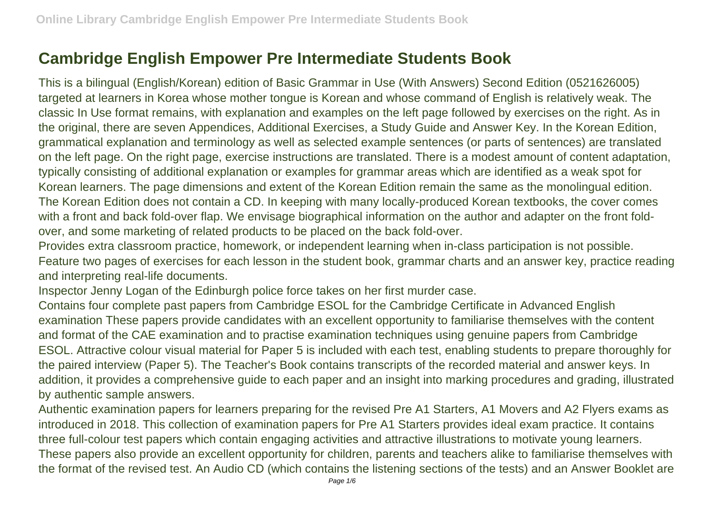## **Cambridge English Empower Pre Intermediate Students Book**

This is a bilingual (English/Korean) edition of Basic Grammar in Use (With Answers) Second Edition (0521626005) targeted at learners in Korea whose mother tongue is Korean and whose command of English is relatively weak. The classic In Use format remains, with explanation and examples on the left page followed by exercises on the right. As in the original, there are seven Appendices, Additional Exercises, a Study Guide and Answer Key. In the Korean Edition, grammatical explanation and terminology as well as selected example sentences (or parts of sentences) are translated on the left page. On the right page, exercise instructions are translated. There is a modest amount of content adaptation, typically consisting of additional explanation or examples for grammar areas which are identified as a weak spot for Korean learners. The page dimensions and extent of the Korean Edition remain the same as the monolingual edition. The Korean Edition does not contain a CD. In keeping with many locally-produced Korean textbooks, the cover comes with a front and back fold-over flap. We envisage biographical information on the author and adapter on the front foldover, and some marketing of related products to be placed on the back fold-over.

Provides extra classroom practice, homework, or independent learning when in-class participation is not possible. Feature two pages of exercises for each lesson in the student book, grammar charts and an answer key, practice reading and interpreting real-life documents.

Inspector Jenny Logan of the Edinburgh police force takes on her first murder case.

Contains four complete past papers from Cambridge ESOL for the Cambridge Certificate in Advanced English examination These papers provide candidates with an excellent opportunity to familiarise themselves with the content and format of the CAE examination and to practise examination techniques using genuine papers from Cambridge ESOL. Attractive colour visual material for Paper 5 is included with each test, enabling students to prepare thoroughly for the paired interview (Paper 5). The Teacher's Book contains transcripts of the recorded material and answer keys. In addition, it provides a comprehensive guide to each paper and an insight into marking procedures and grading, illustrated by authentic sample answers.

Authentic examination papers for learners preparing for the revised Pre A1 Starters, A1 Movers and A2 Flyers exams as introduced in 2018. This collection of examination papers for Pre A1 Starters provides ideal exam practice. It contains three full-colour test papers which contain engaging activities and attractive illustrations to motivate young learners. These papers also provide an excellent opportunity for children, parents and teachers alike to familiarise themselves with the format of the revised test. An Audio CD (which contains the listening sections of the tests) and an Answer Booklet are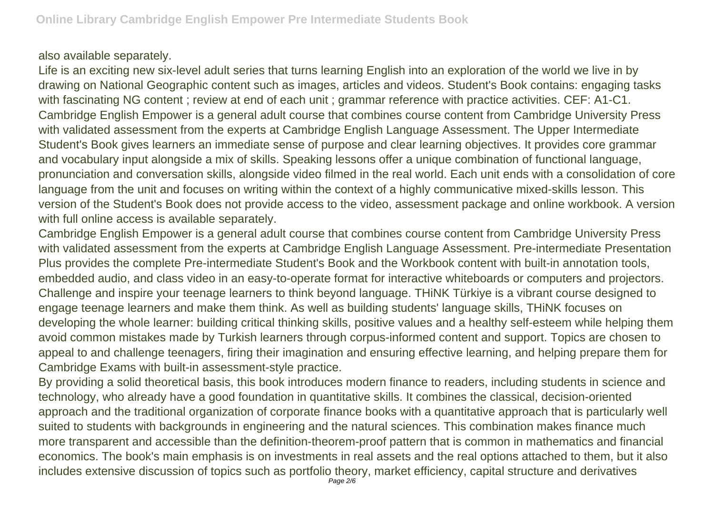## also available separately.

Life is an exciting new six-level adult series that turns learning English into an exploration of the world we live in by drawing on National Geographic content such as images, articles and videos. Student's Book contains: engaging tasks with fascinating NG content; review at end of each unit; grammar reference with practice activities. CEF: A1-C1. Cambridge English Empower is a general adult course that combines course content from Cambridge University Press with validated assessment from the experts at Cambridge English Language Assessment. The Upper Intermediate Student's Book gives learners an immediate sense of purpose and clear learning objectives. It provides core grammar and vocabulary input alongside a mix of skills. Speaking lessons offer a unique combination of functional language, pronunciation and conversation skills, alongside video filmed in the real world. Each unit ends with a consolidation of core language from the unit and focuses on writing within the context of a highly communicative mixed-skills lesson. This version of the Student's Book does not provide access to the video, assessment package and online workbook. A version with full online access is available separately.

Cambridge English Empower is a general adult course that combines course content from Cambridge University Press with validated assessment from the experts at Cambridge English Language Assessment. Pre-intermediate Presentation Plus provides the complete Pre-intermediate Student's Book and the Workbook content with built-in annotation tools, embedded audio, and class video in an easy-to-operate format for interactive whiteboards or computers and projectors. Challenge and inspire your teenage learners to think beyond language. THiNK Türkiye is a vibrant course designed to engage teenage learners and make them think. As well as building students' language skills, THiNK focuses on developing the whole learner: building critical thinking skills, positive values and a healthy self-esteem while helping them avoid common mistakes made by Turkish learners through corpus-informed content and support. Topics are chosen to appeal to and challenge teenagers, firing their imagination and ensuring effective learning, and helping prepare them for Cambridge Exams with built-in assessment-style practice.

By providing a solid theoretical basis, this book introduces modern finance to readers, including students in science and technology, who already have a good foundation in quantitative skills. It combines the classical, decision-oriented approach and the traditional organization of corporate finance books with a quantitative approach that is particularly well suited to students with backgrounds in engineering and the natural sciences. This combination makes finance much more transparent and accessible than the definition-theorem-proof pattern that is common in mathematics and financial economics. The book's main emphasis is on investments in real assets and the real options attached to them, but it also includes extensive discussion of topics such as portfolio theory, market efficiency, capital structure and derivatives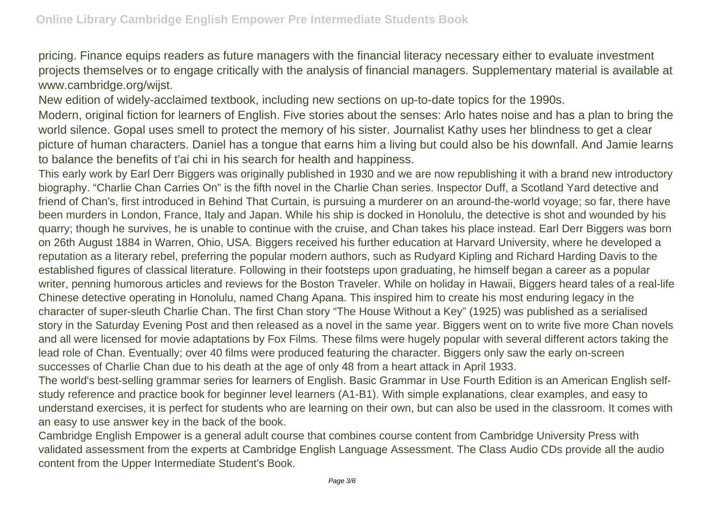pricing. Finance equips readers as future managers with the financial literacy necessary either to evaluate investment projects themselves or to engage critically with the analysis of financial managers. Supplementary material is available at www.cambridge.org/wijst.

New edition of widely-acclaimed textbook, including new sections on up-to-date topics for the 1990s.

Modern, original fiction for learners of English. Five stories about the senses: Arlo hates noise and has a plan to bring the world silence. Gopal uses smell to protect the memory of his sister. Journalist Kathy uses her blindness to get a clear picture of human characters. Daniel has a tongue that earns him a living but could also be his downfall. And Jamie learns to balance the benefits of t'ai chi in his search for health and happiness.

This early work by Earl Derr Biggers was originally published in 1930 and we are now republishing it with a brand new introductory biography. "Charlie Chan Carries On" is the fifth novel in the Charlie Chan series. Inspector Duff, a Scotland Yard detective and friend of Chan's, first introduced in Behind That Curtain, is pursuing a murderer on an around-the-world voyage; so far, there have been murders in London, France, Italy and Japan. While his ship is docked in Honolulu, the detective is shot and wounded by his quarry; though he survives, he is unable to continue with the cruise, and Chan takes his place instead. Earl Derr Biggers was born on 26th August 1884 in Warren, Ohio, USA. Biggers received his further education at Harvard University, where he developed a reputation as a literary rebel, preferring the popular modern authors, such as Rudyard Kipling and Richard Harding Davis to the established figures of classical literature. Following in their footsteps upon graduating, he himself began a career as a popular writer, penning humorous articles and reviews for the Boston Traveler. While on holiday in Hawaii, Biggers heard tales of a real-life Chinese detective operating in Honolulu, named Chang Apana. This inspired him to create his most enduring legacy in the character of super-sleuth Charlie Chan. The first Chan story "The House Without a Key" (1925) was published as a serialised story in the Saturday Evening Post and then released as a novel in the same year. Biggers went on to write five more Chan novels and all were licensed for movie adaptations by Fox Films. These films were hugely popular with several different actors taking the lead role of Chan. Eventually; over 40 films were produced featuring the character. Biggers only saw the early on-screen successes of Charlie Chan due to his death at the age of only 48 from a heart attack in April 1933.

The world's best-selling grammar series for learners of English. Basic Grammar in Use Fourth Edition is an American English selfstudy reference and practice book for beginner level learners (A1-B1). With simple explanations, clear examples, and easy to understand exercises, it is perfect for students who are learning on their own, but can also be used in the classroom. It comes with an easy to use answer key in the back of the book.

Cambridge English Empower is a general adult course that combines course content from Cambridge University Press with validated assessment from the experts at Cambridge English Language Assessment. The Class Audio CDs provide all the audio content from the Upper Intermediate Student's Book.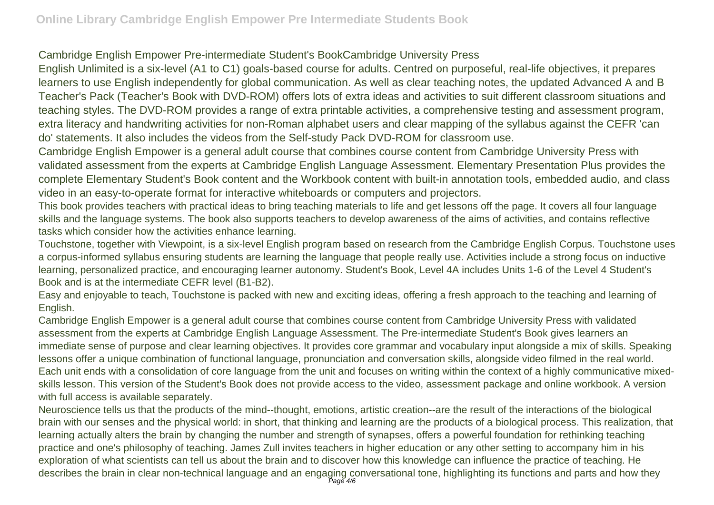## Cambridge English Empower Pre-intermediate Student's BookCambridge University Press

English Unlimited is a six-level (A1 to C1) goals-based course for adults. Centred on purposeful, real-life objectives, it prepares learners to use English independently for global communication. As well as clear teaching notes, the updated Advanced A and B Teacher's Pack (Teacher's Book with DVD-ROM) offers lots of extra ideas and activities to suit different classroom situations and teaching styles. The DVD-ROM provides a range of extra printable activities, a comprehensive testing and assessment program, extra literacy and handwriting activities for non-Roman alphabet users and clear mapping of the syllabus against the CEFR 'can do' statements. It also includes the videos from the Self-study Pack DVD-ROM for classroom use.

Cambridge English Empower is a general adult course that combines course content from Cambridge University Press with validated assessment from the experts at Cambridge English Language Assessment. Elementary Presentation Plus provides the complete Elementary Student's Book content and the Workbook content with built-in annotation tools, embedded audio, and class video in an easy-to-operate format for interactive whiteboards or computers and projectors.

This book provides teachers with practical ideas to bring teaching materials to life and get lessons off the page. It covers all four language skills and the language systems. The book also supports teachers to develop awareness of the aims of activities, and contains reflective tasks which consider how the activities enhance learning.

Touchstone, together with Viewpoint, is a six-level English program based on research from the Cambridge English Corpus. Touchstone uses a corpus-informed syllabus ensuring students are learning the language that people really use. Activities include a strong focus on inductive learning, personalized practice, and encouraging learner autonomy. Student's Book, Level 4A includes Units 1-6 of the Level 4 Student's Book and is at the intermediate CEFR level (B1-B2).

Easy and enjoyable to teach, Touchstone is packed with new and exciting ideas, offering a fresh approach to the teaching and learning of English.

Cambridge English Empower is a general adult course that combines course content from Cambridge University Press with validated assessment from the experts at Cambridge English Language Assessment. The Pre-intermediate Student's Book gives learners an immediate sense of purpose and clear learning objectives. It provides core grammar and vocabulary input alongside a mix of skills. Speaking lessons offer a unique combination of functional language, pronunciation and conversation skills, alongside video filmed in the real world. Each unit ends with a consolidation of core language from the unit and focuses on writing within the context of a highly communicative mixedskills lesson. This version of the Student's Book does not provide access to the video, assessment package and online workbook. A version with full access is available separately.

Neuroscience tells us that the products of the mind--thought, emotions, artistic creation--are the result of the interactions of the biological brain with our senses and the physical world: in short, that thinking and learning are the products of a biological process. This realization, that learning actually alters the brain by changing the number and strength of synapses, offers a powerful foundation for rethinking teaching practice and one's philosophy of teaching. James Zull invites teachers in higher education or any other setting to accompany him in his exploration of what scientists can tell us about the brain and to discover how this knowledge can influence the practice of teaching. He describes the brain in clear non-technical language and an engaging conversational tone, highlighting its functions and parts and how they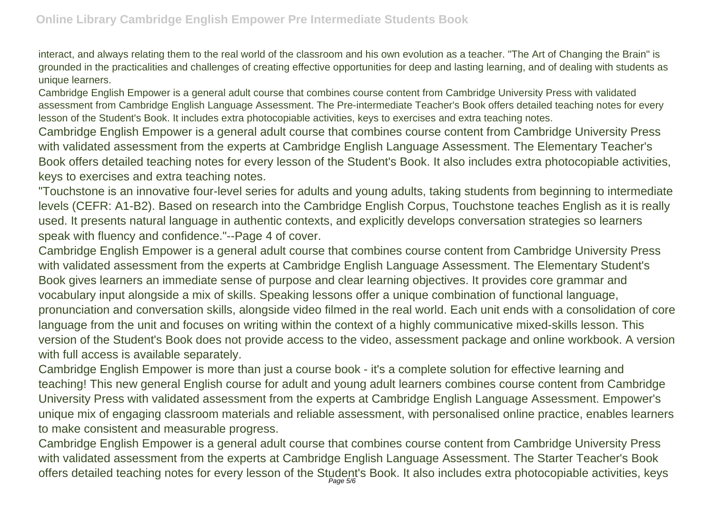interact, and always relating them to the real world of the classroom and his own evolution as a teacher. "The Art of Changing the Brain" is grounded in the practicalities and challenges of creating effective opportunities for deep and lasting learning, and of dealing with students as unique learners.

Cambridge English Empower is a general adult course that combines course content from Cambridge University Press with validated assessment from Cambridge English Language Assessment. The Pre-intermediate Teacher's Book offers detailed teaching notes for every lesson of the Student's Book. It includes extra photocopiable activities, keys to exercises and extra teaching notes.

Cambridge English Empower is a general adult course that combines course content from Cambridge University Press with validated assessment from the experts at Cambridge English Language Assessment. The Elementary Teacher's Book offers detailed teaching notes for every lesson of the Student's Book. It also includes extra photocopiable activities, keys to exercises and extra teaching notes.

"Touchstone is an innovative four-level series for adults and young adults, taking students from beginning to intermediate levels (CEFR: A1-B2). Based on research into the Cambridge English Corpus, Touchstone teaches English as it is really used. It presents natural language in authentic contexts, and explicitly develops conversation strategies so learners speak with fluency and confidence."--Page 4 of cover.

Cambridge English Empower is a general adult course that combines course content from Cambridge University Press with validated assessment from the experts at Cambridge English Language Assessment. The Elementary Student's Book gives learners an immediate sense of purpose and clear learning objectives. It provides core grammar and vocabulary input alongside a mix of skills. Speaking lessons offer a unique combination of functional language, pronunciation and conversation skills, alongside video filmed in the real world. Each unit ends with a consolidation of core language from the unit and focuses on writing within the context of a highly communicative mixed-skills lesson. This version of the Student's Book does not provide access to the video, assessment package and online workbook. A version with full access is available separately.

Cambridge English Empower is more than just a course book - it's a complete solution for effective learning and teaching! This new general English course for adult and young adult learners combines course content from Cambridge University Press with validated assessment from the experts at Cambridge English Language Assessment. Empower's unique mix of engaging classroom materials and reliable assessment, with personalised online practice, enables learners to make consistent and measurable progress.

Cambridge English Empower is a general adult course that combines course content from Cambridge University Press with validated assessment from the experts at Cambridge English Language Assessment. The Starter Teacher's Book offers detailed teaching notes for every lesson of the Student's Book. It also includes extra photocopiable activities, keys